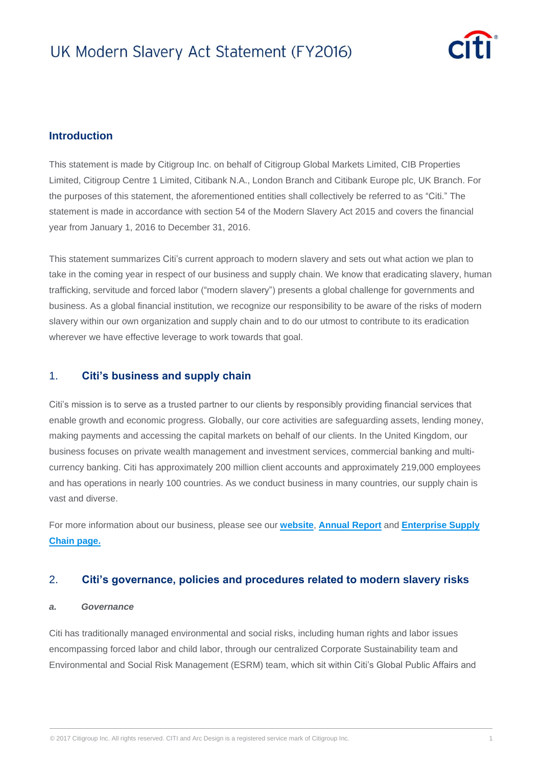

### **Introduction**

This statement is made by Citigroup Inc. on behalf of Citigroup Global Markets Limited, CIB Properties Limited, Citigroup Centre 1 Limited, Citibank N.A., London Branch and Citibank Europe plc, UK Branch. For the purposes of this statement, the aforementioned entities shall collectively be referred to as "Citi." The statement is made in accordance with section 54 of the Modern Slavery Act 2015 and covers the financial year from January 1, 2016 to December 31, 2016.

This statement summarizes Citi's current approach to modern slavery and sets out what action we plan to take in the coming year in respect of our business and supply chain. We know that eradicating slavery, human trafficking, servitude and forced labor ("modern slavery") presents a global challenge for governments and business. As a global financial institution, we recognize our responsibility to be aware of the risks of modern slavery within our own organization and supply chain and to do our utmost to contribute to its eradication wherever we have effective leverage to work towards that goal.

### 1. **Citi's business and supply chain**

Citi's mission is to serve as a trusted partner to our clients by responsibly providing financial services that enable growth and economic progress. Globally, our core activities are safeguarding assets, lending money, making payments and accessing the capital markets on behalf of our clients. In the United Kingdom, our business focuses on private wealth management and investment services, commercial banking and multicurrency banking. Citi has approximately 200 million client accounts and approximately 219,000 employees and has operations in nearly 100 countries. As we conduct business in many countries, our supply chain is vast and diverse.

For more information about our business, please see our **[website](http://www.citigroup.com/citi/)**, **[Annual Report](https://www.citigroup.com/citi/investor/quarterly/2017/annual-report/)** and **[Enterprise Supply](http://www.citigroup.com/citi/suppliers/index.htm)  [Chain page.](http://www.citigroup.com/citi/suppliers/index.htm)**

### 2. **Citi's governance, policies and procedures related to modern slavery risks**

#### *a. Governance*

Citi has traditionally managed environmental and social risks, including human rights and labor issues encompassing forced labor and child labor, through our centralized Corporate Sustainability team and Environmental and Social Risk Management (ESRM) team, which sit within Citi's Global Public Affairs and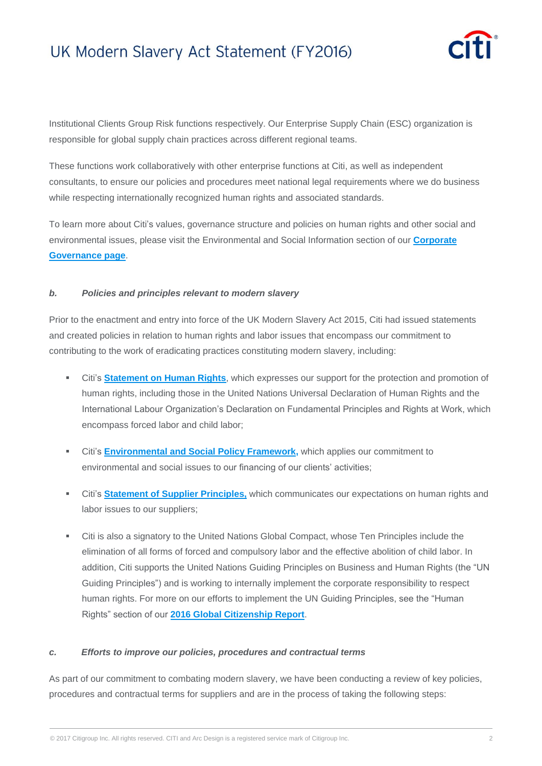

Institutional Clients Group Risk functions respectively. Our Enterprise Supply Chain (ESC) organization is responsible for global supply chain practices across different regional teams.

These functions work collaboratively with other enterprise functions at Citi, as well as independent consultants, to ensure our policies and procedures meet national legal requirements where we do business while respecting internationally recognized human rights and associated standards.

To learn more about Citi's values, governance structure and policies on human rights and other social and environmental issues, please visit the Environmental and Social Information section of our **[Corporate](http://www.citigroup.com/citi/investor/corporate_governance.html)  [Governance page](http://www.citigroup.com/citi/investor/corporate_governance.html)**.

#### *b. Policies and principles relevant to modern slavery*

Prior to the enactment and entry into force of the UK Modern Slavery Act 2015, Citi had issued statements and created policies in relation to human rights and labor issues that encompass our commitment to contributing to the work of eradicating practices constituting modern slavery, including:

- Citi's **[Statement on Human Rights](http://www.citigroup.com/citi/citizen/data/citi_statement_on_human_rights.pdf)**, which expresses our support for the protection and promotion of human rights, including those in the United Nations Universal Declaration of Human Rights and the International Labour Organization's Declaration on Fundamental Principles and Rights at Work, which encompass forced labor and child labor;
- Citi's **[Environmental and Social Policy Framework,](http://www.citigroup.com/citi/environment/data/937986_Env_Policy_FrameWk_WPaper_v2.pdf)** which applies our commitment to environmental and social issues to our financing of our clients' activities;
- Citi's **Statement of [Supplier Principles,](http://www.citigroup.com/citi/suppliers/supplierprinciples.htm)** which communicates our expectations on human rights and labor issues to our suppliers;
- Citi is also a signatory to the United Nations Global Compact, whose Ten Principles include the elimination of all forms of forced and compulsory labor and the effective abolition of child labor. In addition, Citi supports the United Nations Guiding Principles on Business and Human Rights (the "UN Guiding Principles") and is working to internally implement the corporate responsibility to respect human rights. For more on our efforts to implement the UN Guiding Principles, see the "Human Rights" section of our **2016 Global [Citizenship Report](http://www.citigroup.com/citi/about/citizenship/)**.

#### *c. Efforts to improve our policies, procedures and contractual terms*

As part of our commitment to combating modern slavery, we have been conducting a review of key policies, procedures and contractual terms for suppliers and are in the process of taking the following steps: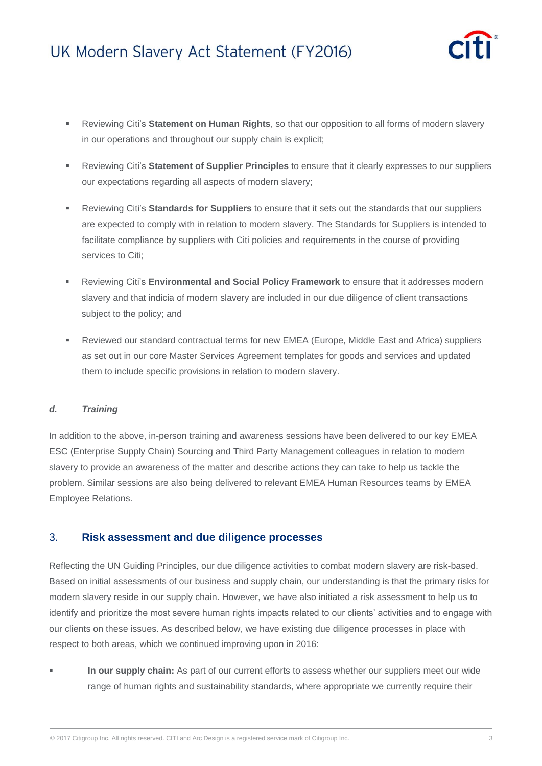

- Reviewing Citi's **Statement on Human Rights**, so that our opposition to all forms of modern slavery in our operations and throughout our supply chain is explicit;
- Reviewing Citi's **Statement of Supplier Principles** to ensure that it clearly expresses to our suppliers our expectations regarding all aspects of modern slavery;
- Reviewing Citi's **Standards for Suppliers** to ensure that it sets out the standards that our suppliers are expected to comply with in relation to modern slavery. The Standards for Suppliers is intended to facilitate compliance by suppliers with Citi policies and requirements in the course of providing services to Citi;
- Reviewing Citi's **Environmental and Social Policy Framework** to ensure that it addresses modern slavery and that indicia of modern slavery are included in our due diligence of client transactions subject to the policy; and
- Reviewed our standard contractual terms for new EMEA (Europe, Middle East and Africa) suppliers as set out in our core Master Services Agreement templates for goods and services and updated them to include specific provisions in relation to modern slavery.

#### *d. Training*

In addition to the above, in-person training and awareness sessions have been delivered to our key EMEA ESC (Enterprise Supply Chain) Sourcing and Third Party Management colleagues in relation to modern slavery to provide an awareness of the matter and describe actions they can take to help us tackle the problem. Similar sessions are also being delivered to relevant EMEA Human Resources teams by EMEA Employee Relations.

## 3. **Risk assessment and due diligence processes**

Reflecting the UN Guiding Principles, our due diligence activities to combat modern slavery are risk-based. Based on initial assessments of our business and supply chain, our understanding is that the primary risks for modern slavery reside in our supply chain. However, we have also initiated a risk assessment to help us to identify and prioritize the most severe human rights impacts related to our clients' activities and to engage with our clients on these issues. As described below, we have existing due diligence processes in place with respect to both areas, which we continued improving upon in 2016:

 **In our supply chain:** As part of our current efforts to assess whether our suppliers meet our wide range of human rights and sustainability standards, where appropriate we currently require their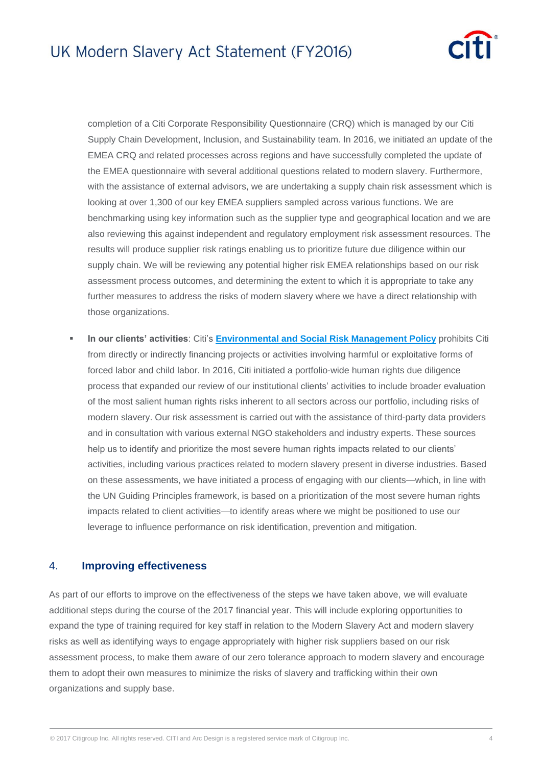

completion of a Citi Corporate Responsibility Questionnaire (CRQ) which is managed by our Citi Supply Chain Development, Inclusion, and Sustainability team. In 2016, we initiated an update of the EMEA CRQ and related processes across regions and have successfully completed the update of the EMEA questionnaire with several additional questions related to modern slavery. Furthermore, with the assistance of external advisors, we are undertaking a supply chain risk assessment which is looking at over 1,300 of our key EMEA suppliers sampled across various functions. We are benchmarking using key information such as the supplier type and geographical location and we are also reviewing this against independent and regulatory employment risk assessment resources. The results will produce supplier risk ratings enabling us to prioritize future due diligence within our supply chain. We will be reviewing any potential higher risk EMEA relationships based on our risk assessment process outcomes, and determining the extent to which it is appropriate to take any further measures to address the risks of modern slavery where we have a direct relationship with those organizations.

 **In our clients' activities**: Citi's **[Environmental and Social Risk Management](http://www.citigroup.com/citi/environment/data/937986_Env_Policy_FrameWk_WPaper_v2.pdf) Policy** prohibits Citi from directly or indirectly financing projects or activities involving harmful or exploitative forms of forced labor and child labor. In 2016, Citi initiated a portfolio-wide human rights due diligence process that expanded our review of our institutional clients' activities to include broader evaluation of the most salient human rights risks inherent to all sectors across our portfolio, including risks of modern slavery. Our risk assessment is carried out with the assistance of third-party data providers and in consultation with various external NGO stakeholders and industry experts. These sources help us to identify and prioritize the most severe human rights impacts related to our clients' activities, including various practices related to modern slavery present in diverse industries. Based on these assessments, we have initiated a process of engaging with our clients—which, in line with the UN Guiding Principles framework, is based on a prioritization of the most severe human rights impacts related to client activities—to identify areas where we might be positioned to use our leverage to influence performance on risk identification, prevention and mitigation.

### 4. **Improving effectiveness**

As part of our efforts to improve on the effectiveness of the steps we have taken above, we will evaluate additional steps during the course of the 2017 financial year. This will include exploring opportunities to expand the type of training required for key staff in relation to the Modern Slavery Act and modern slavery risks as well as identifying ways to engage appropriately with higher risk suppliers based on our risk assessment process, to make them aware of our zero tolerance approach to modern slavery and encourage them to adopt their own measures to minimize the risks of slavery and trafficking within their own organizations and supply base.